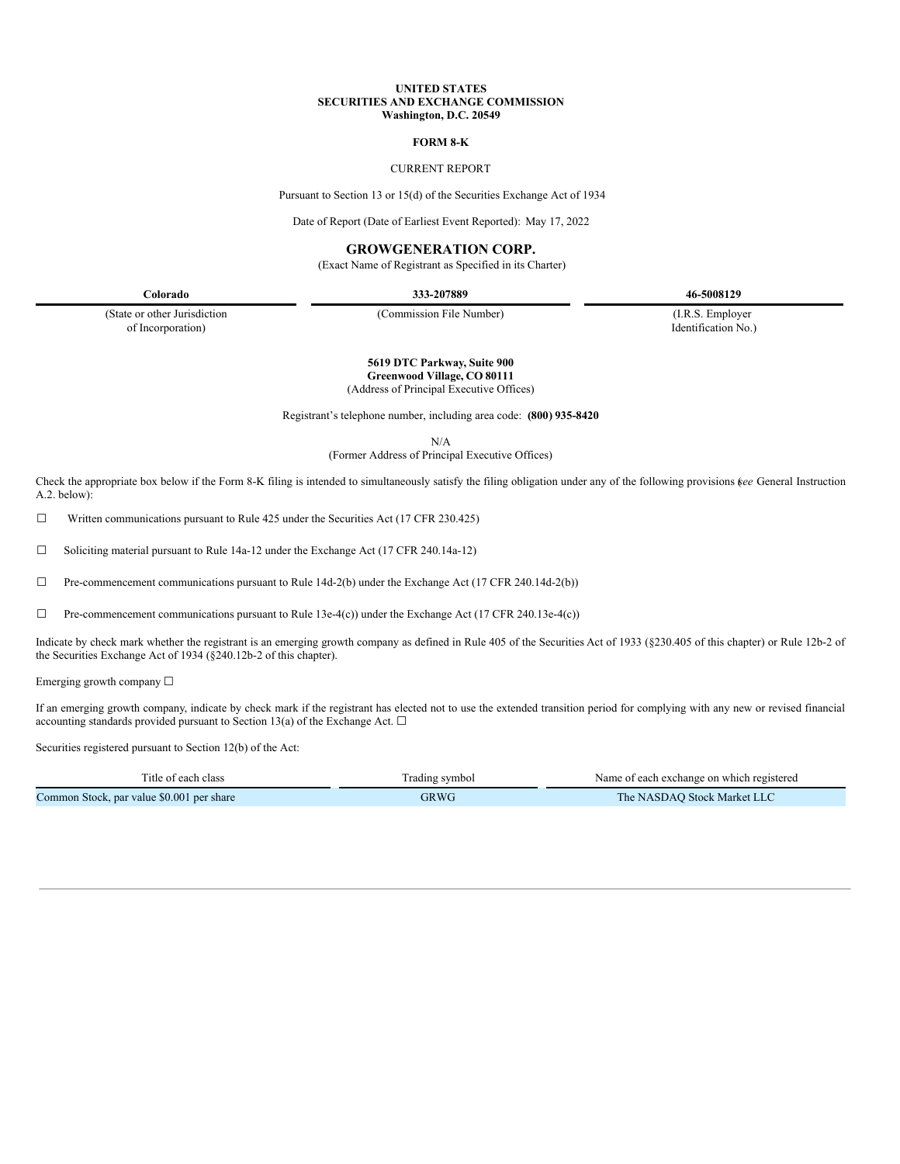#### **UNITED STATES SECURITIES AND EXCHANGE COMMISSION Washington, D.C. 20549**

#### **FORM 8-K**

## CURRENT REPORT

Pursuant to Section 13 or 15(d) of the Securities Exchange Act of 1934

Date of Report (Date of Earliest Event Reported): May 17, 2022

## **GROWGENERATION CORP.**

(Exact Name of Registrant as Specified in its Charter)

**Colorado 333-207889 46-5008129**

(State or other Jurisdiction of Incorporation)

(Commission File Number) (I.R.S. Employer

Identification No.)

**5619 DTC Parkway, Suite 900 Greenwood Village, CO 80111**

(Address of Principal Executive Offices)

Registrant's telephone number, including area code: **(800) 935-8420**

N/A

(Former Address of Principal Executive Offices)

Check the appropriate box below if the Form 8-K filing is intended to simultaneously satisfy the filing obligation under any of the following provisions (*see* General Instruction A.2. below):

☐ Written communications pursuant to Rule 425 under the Securities Act (17 CFR 230.425)

☐ Soliciting material pursuant to Rule 14a-12 under the Exchange Act (17 CFR 240.14a-12)

☐ Pre-commencement communications pursuant to Rule 14d-2(b) under the Exchange Act (17 CFR 240.14d-2(b))

 $\Box$  Pre-commencement communications pursuant to Rule 13e-4(c)) under the Exchange Act (17 CFR 240.13e-4(c))

Indicate by check mark whether the registrant is an emerging growth company as defined in Rule 405 of the Securities Act of 1933 (§230.405 of this chapter) or Rule 12b-2 of the Securities Exchange Act of 1934 (§240.12b-2 of this chapter).

Emerging growth company ☐

If an emerging growth company, indicate by check mark if the registrant has elected not to use the extended transition period for complying with any new or revised financial accounting standards provided pursuant to Section 13(a) of the Exchange Act.  $\Box$ 

Securities registered pursuant to Section 12(b) of the Act:

| Title of each class                       | Trading symbol | Name of each exchange on which registered |
|-------------------------------------------|----------------|-------------------------------------------|
| Common Stock, par value \$0.001 per share | GRWG           | The NASDAO Stock Market LLC               |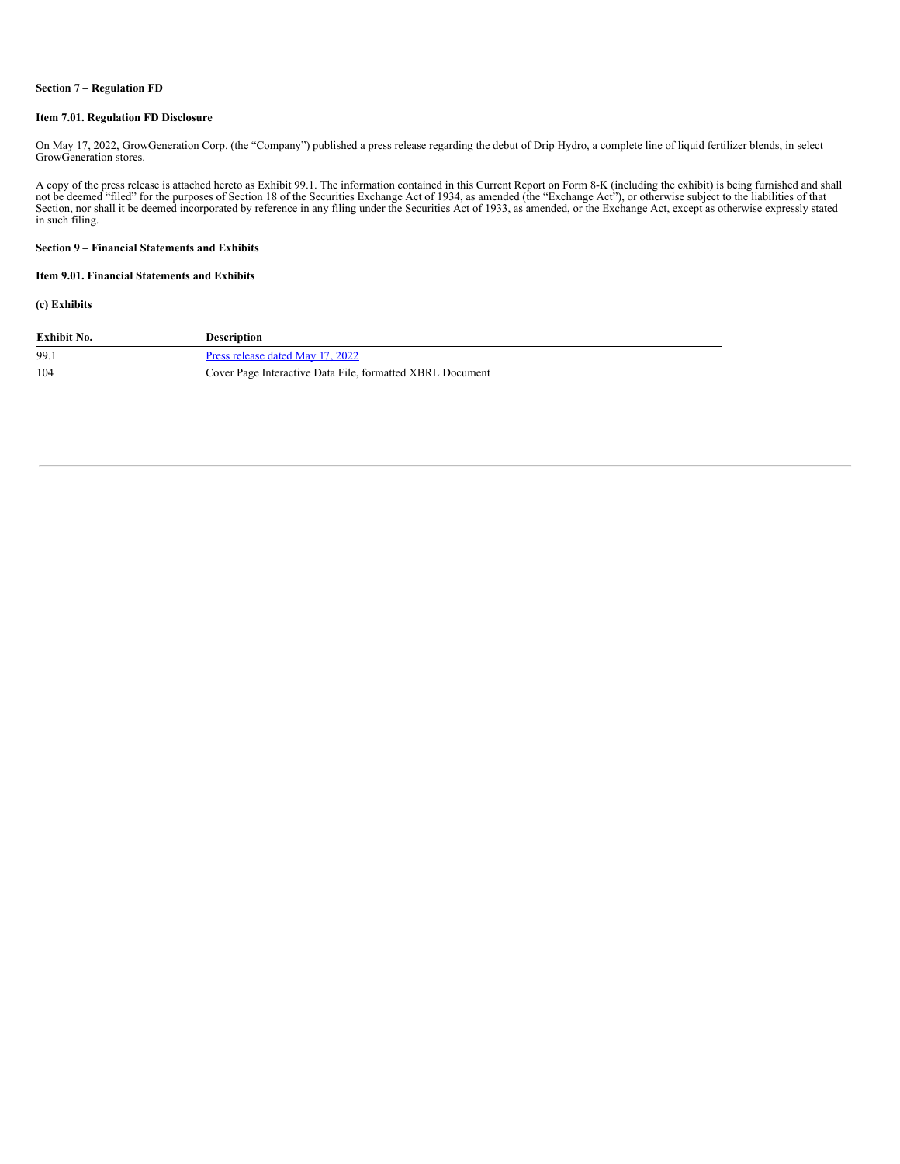#### **Section 7 – Regulation FD**

#### **Item 7.01. Regulation FD Disclosure**

On May 17, 2022, GrowGeneration Corp. (the "Company") published a press release regarding the debut of Drip Hydro, a complete line of liquid fertilizer blends, in select GrowGeneration stores.

A copy of the press release is attached hereto as Exhibit 99.1. The information contained in this Current Report on Form 8-K (including the exhibit) is being furnished and shall not be deemed "filed" for the purposes of Se in such filing.

#### **Section 9 – Financial Statements and Exhibits**

## **Item 9.01. Financial Statements and Exhibits**

### **(c) Exhibits**

| Exhibit No. | <b>Description</b>                                        |
|-------------|-----------------------------------------------------------|
| 99.1        | Press release dated May 17, 2022                          |
| 104         | Cover Page Interactive Data File, formatted XBRL Document |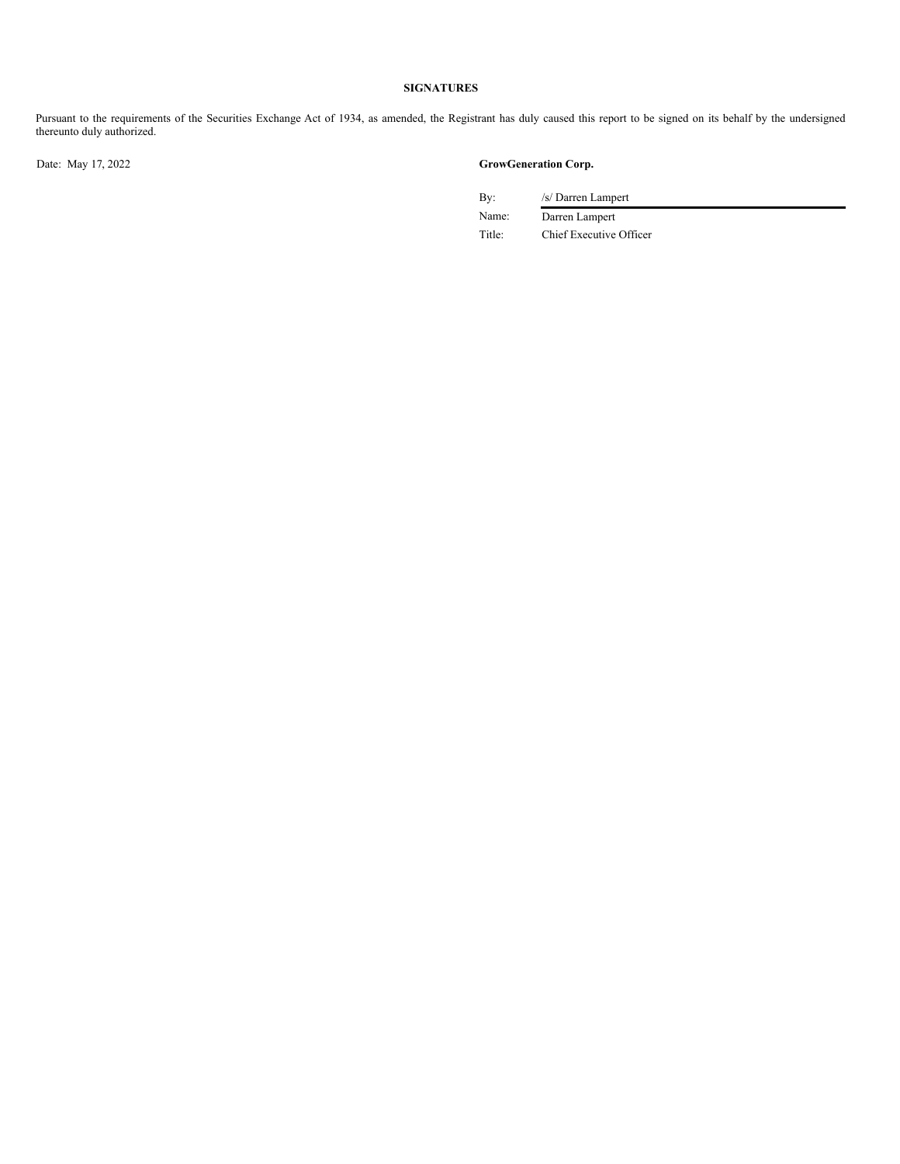## **SIGNATURES**

Pursuant to the requirements of the Securities Exchange Act of 1934, as amended, the Registrant has duly caused this report to be signed on its behalf by the undersigned thereunto duly authorized.

## Date: May 17, 2022 **GrowGeneration Corp.**

By: /s/ Darren Lampert

Name: Darren Lampert Title: Chief Executive Officer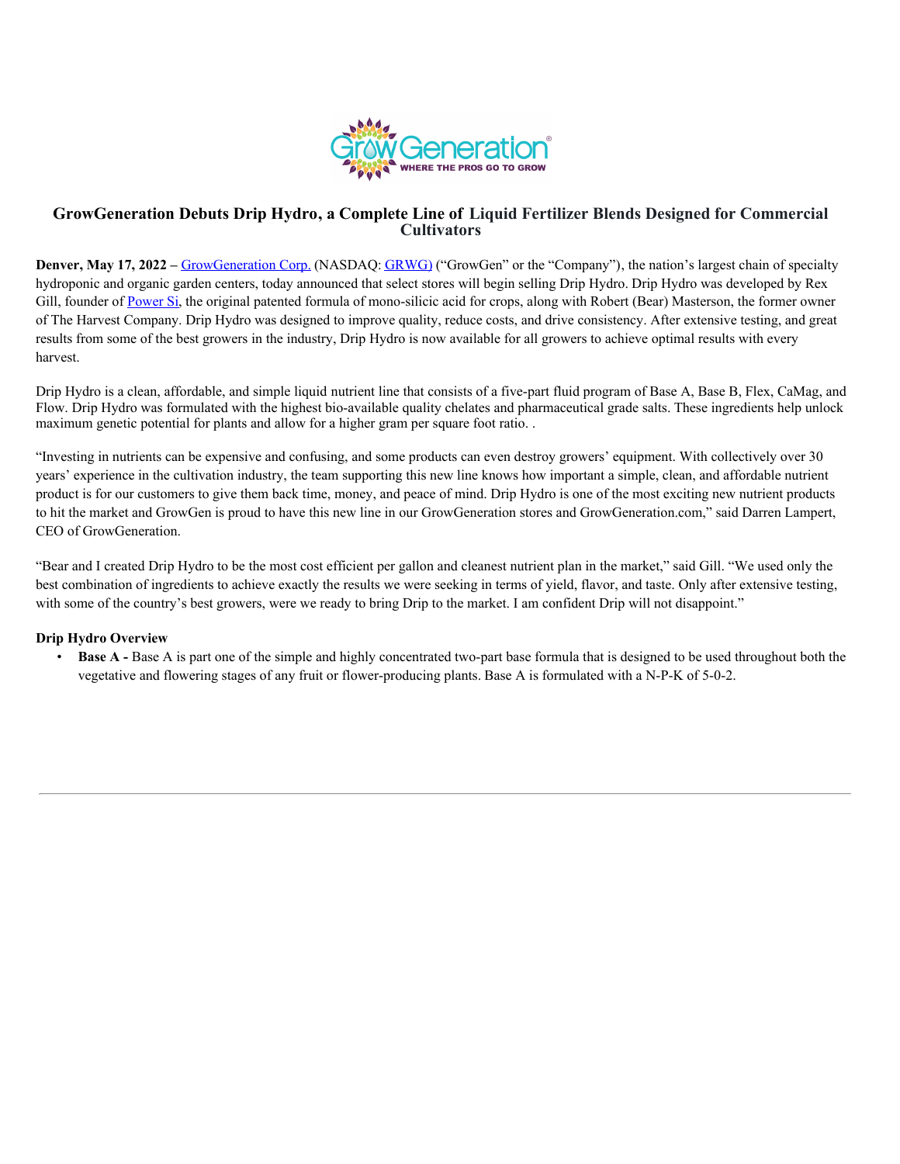

# **GrowGeneration Debuts Drip Hydro, a Complete Line of Liquid Fertilizer Blends Designed for Commercial Cultivators**

**Denver, May 17, 2022** – GrowGeneration Corp. (NASDAQ: GRWG) ("GrowGen" or the "Company"), the nation's largest chain of specialty hydroponic and organic garden centers, today announced that select stores will begin selling Drip Hydro. Drip Hydro was developed by Rex Gill, founder of Power Si, the original patented formula of mono-silicic acid for crops, along with Robert (Bear) Masterson, the former owner of The Harvest Company. Drip Hydro was designed to improve quality, reduce costs, and drive consistency. After extensive testing, and great results from some of the best growers in the industry, Drip Hydro is now available for all growers to achieve optimal results with every harvest.

Drip Hydro is a clean, affordable, and simple liquid nutrient line that consists of a five-part fluid program of Base A, Base B, Flex, CaMag, and Flow. Drip Hydro was formulated with the highest bio-available quality chelates and pharmaceutical grade salts. These ingredients help unlock maximum genetic potential for plants and allow for a higher gram per square foot ratio. .

"Investing in nutrients can be expensive and confusing, and some products can even destroy growers' equipment. With collectively over 30 years' experience in the cultivation industry, the team supporting this new line knows how important a simple, clean, and affordable nutrient product is for our customers to give them back time, money, and peace of mind. Drip Hydro is one of the most exciting new nutrient products to hit the market and GrowGen is proud to have this new line in our GrowGeneration stores and GrowGeneration.com," said Darren Lampert, CEO of GrowGeneration.

"Bear and I created Drip Hydro to be the most cost efficient per gallon and cleanest nutrient plan in the market," said Gill. "We used only the best combination of ingredients to achieve exactly the results we were seeking in terms of yield, flavor, and taste. Only after extensive testing, with some of the country's best growers, were we ready to bring Drip to the market. I am confident Drip will not disappoint."

# **Drip Hydro Overview**

• **Base A -** Base A is part one of the simple and highly concentrated two-part base formula that is designed to be used throughout both the vegetative and flowering stages of any fruit or flower-producing plants. Base A is formulated with a N-P-K of 5-0-2.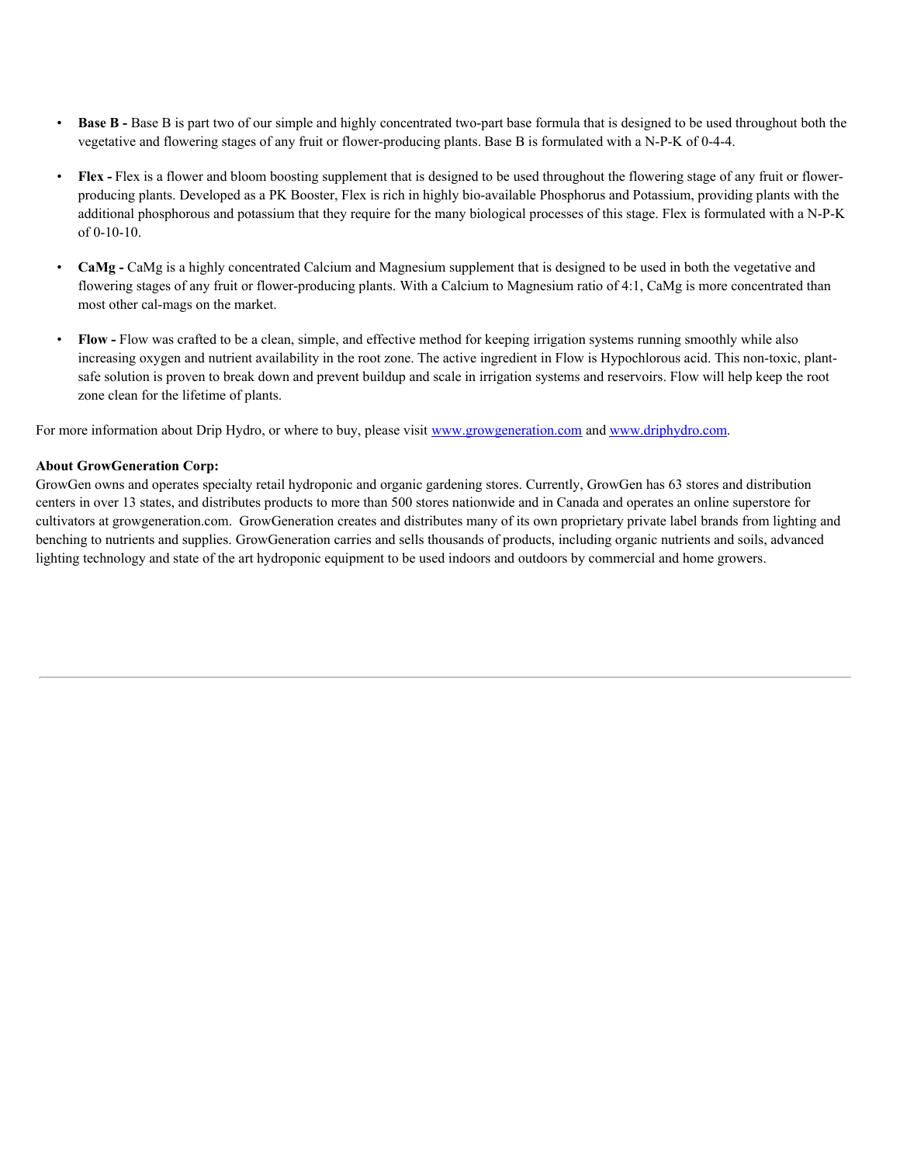- <span id="page-4-0"></span>• **Base B -** Base B is part two of our simple and highly concentrated two-part base formula that is designed to be used throughout both the vegetative and flowering stages of any fruit or flower-producing plants. Base B is formulated with a N-P-K of 0-4-4.
- **Flex -** Flex is a flower and bloom boosting supplement that is designed to be used throughout the flowering stage of any fruit or flowerproducing plants. Developed as a PK Booster, Flex is rich in highly bio-available Phosphorus and Potassium, providing plants with the additional phosphorous and potassium that they require for the many biological processes of this stage. Flex is formulated with a N-P-K of 0-10-10.
- **CaMg -** CaMg is a highly concentrated Calcium and Magnesium supplement that is designed to be used in both the vegetative and flowering stages of any fruit or flower-producing plants. With a Calcium to Magnesium ratio of 4:1, CaMg is more concentrated than most other cal-mags on the market.
- **Flow -** Flow was crafted to be a clean, simple, and effective method for keeping irrigation systems running smoothly while also increasing oxygen and nutrient availability in the root zone. The active ingredient in Flow is Hypochlorous acid. This non-toxic, plantsafe solution is proven to break down and prevent buildup and scale in irrigation systems and reservoirs. Flow will help keep the root zone clean for the lifetime of plants.

For more information about Drip Hydro, or where to buy, please visit www.growgeneration.com and www.driphydro.com.

## **About GrowGeneration Corp:**

GrowGen owns and operates specialty retail hydroponic and organic gardening stores. Currently, GrowGen has 63 stores and distribution centers in over 13 states, and distributes products to more than 500 stores nationwide and in Canada and operates an online superstore for cultivators at growgeneration.com. GrowGeneration creates and distributes many of its own proprietary private label brands from lighting and benching to nutrients and supplies. GrowGeneration carries and sells thousands of products, including organic nutrients and soils, advanced lighting technology and state of the art hydroponic equipment to be used indoors and outdoors by commercial and home growers.